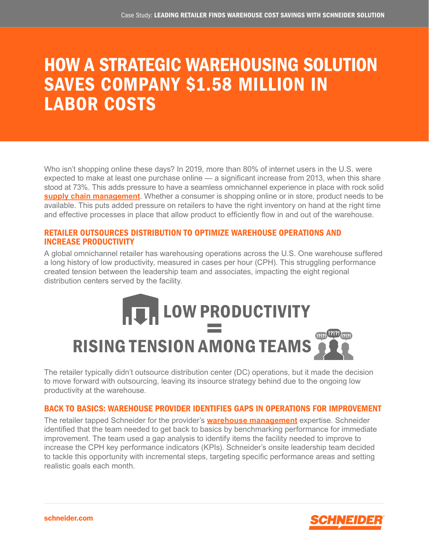## HOW A STRATEGIC WAREHOUSING SOLUTION SAVES COMPANY \$1.58 MILLION IN LABOR COSTS

Who isn't shopping online these days? In 2019, more than 80% of internet users in the U.S. were expected to make at least one purchase online — a significant increase from 2013, when this share stood at 73%. This adds pressure to have a seamless omnichannel experience in place with rock solid **[supply chain management](https://schneider.com/our-services/logistics)**. Whether a consumer is shopping online or in store, product needs to be available. This puts added pressure on retailers to have the right inventory on hand at the right time and effective processes in place that allow product to efficiently flow in and out of the warehouse.

### RETAILER OUTSOURCES DISTRIBUTION TO OPTIMIZE WAREHOUSE OPERATIONS AND INCREASE PRODUCTIVITY

A global omnichannel retailer has warehousing operations across the U.S. One warehouse suffered a long history of low productivity, measured in cases per hour (CPH). This struggling performance created tension between the leadership team and associates, impacting the eight regional distribution centers served by the facility.

# **RUIM LOW PRODUCTIVITY**  $\frac{1}{M}$ RISING TENSION AMONG TEAMS

The retailer typically didn't outsource distribution center (DC) operations, but it made the decision to move forward with outsourcing, leaving its insource strategy behind due to the ongoing low productivity at the warehouse.

### BACK TO BASICS: WAREHOUSE PROVIDER IDENTIFIES GAPS IN OPERATIONS FOR IMPROVEMENT

The retailer tapped Schneider for the provider's **[warehouse management](https://schneider.com/our-services/warehousing-storage-logistics)** expertise. Schneider identified that the team needed to get back to basics by benchmarking performance for immediate improvement. The team used a gap analysis to identify items the facility needed to improve to increase the CPH key performance indicators (KPIs). Schneider's onsite leadership team decided to tackle this opportunity with incremental steps, targeting specific performance areas and setting realistic goals each month.